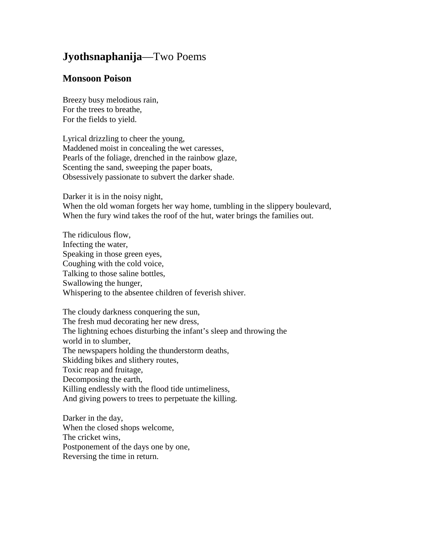## **Jyothsnaphanija**—Two Poems

## **Monsoon Poison**

Breezy busy melodious rain, For the trees to breathe, For the fields to yield.

Lyrical drizzling to cheer the young, Maddened moist in concealing the wet caresses, Pearls of the foliage, drenched in the rainbow glaze, Scenting the sand, sweeping the paper boats, Obsessively passionate to subvert the darker shade.

Darker it is in the noisy night,

When the old woman forgets her way home, tumbling in the slippery boulevard, When the fury wind takes the roof of the hut, water brings the families out.

The ridiculous flow, Infecting the water, Speaking in those green eyes, Coughing with the cold voice, Talking to those saline bottles, Swallowing the hunger, Whispering to the absentee children of feverish shiver.

The cloudy darkness conquering the sun, The fresh mud decorating her new dress, The lightning echoes disturbing the infant's sleep and throwing the world in to slumber, The newspapers holding the thunderstorm deaths, Skidding bikes and slithery routes, Toxic reap and fruitage, Decomposing the earth, Killing endlessly with the flood tide untimeliness, And giving powers to trees to perpetuate the killing.

Darker in the day, When the closed shops welcome, The cricket wins, Postponement of the days one by one, Reversing the time in return.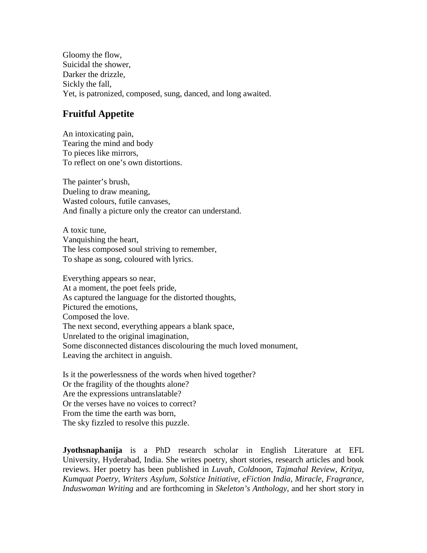Gloomy the flow, Suicidal the shower, Darker the drizzle, Sickly the fall, Yet, is patronized, composed, sung, danced, and long awaited.

## **Fruitful Appetite**

An intoxicating pain, Tearing the mind and body To pieces like mirrors, To reflect on one's own distortions.

The painter's brush, Dueling to draw meaning, Wasted colours, futile canvases, And finally a picture only the creator can understand.

A toxic tune, Vanquishing the heart, The less composed soul striving to remember, To shape as song, coloured with lyrics.

Everything appears so near, At a moment, the poet feels pride, As captured the language for the distorted thoughts, Pictured the emotions, Composed the love. The next second, everything appears a blank space, Unrelated to the original imagination, Some disconnected distances discolouring the much loved monument, Leaving the architect in anguish.

Is it the powerlessness of the words when hived together? Or the fragility of the thoughts alone? Are the expressions untranslatable? Or the verses have no voices to correct? From the time the earth was born, The sky fizzled to resolve this puzzle.

**Jyothsnaphanija** is a PhD research scholar in English Literature at EFL University, Hyderabad, India. She writes poetry, short stories, research articles and book reviews. Her poetry has been published in *Luvah, Coldnoon*, *Tajmahal Review*, *Kritya, Kumquat Poetry*, *Writers Asylum*, *Solstice Initiative*, *eFiction India*, *Miracle*, *Fragrance, Induswoman Writing* and are forthcoming in *Skeleton's Anthology*, and her short story in